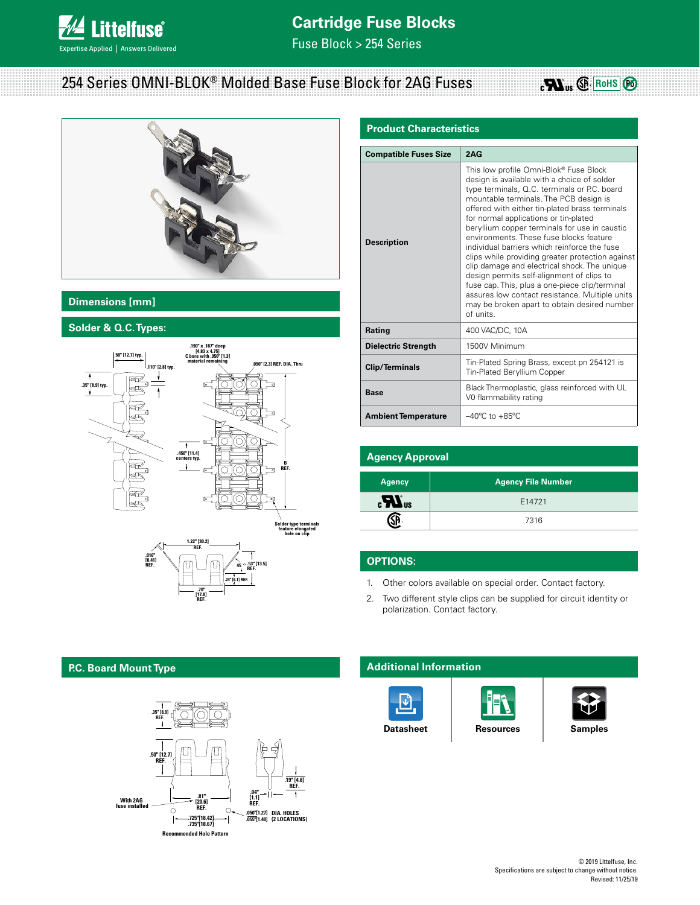

# **Cartridge Fuse Blocks**

Fuse Block > 254 Series

# 254 Series OMNI-BLOK® Molded Base Fuse Block for 2AG Fuses



## **Dimensions [mm]**

## **Solder & Q.C. Types:**



## **Product Characteristics**

| <b>Compatible Fuses Size</b> | 2AG                                                                                                                                                                                                                                                                                                                                                                                                                                                                                                                                                                                                                                                                                                                                      |  |  |  |
|------------------------------|------------------------------------------------------------------------------------------------------------------------------------------------------------------------------------------------------------------------------------------------------------------------------------------------------------------------------------------------------------------------------------------------------------------------------------------------------------------------------------------------------------------------------------------------------------------------------------------------------------------------------------------------------------------------------------------------------------------------------------------|--|--|--|
| <b>Description</b>           | This low profile Omni-Blok® Fuse Block<br>design is available with a choice of solder<br>type terminals, Q.C. terminals or P.C. board<br>mountable terminals. The PCB design is<br>offered with either tin-plated brass terminals<br>for normal applications or tin-plated<br>beryllium copper terminals for use in caustic<br>environments. These fuse blocks feature<br>individual barriers which reinforce the fuse<br>clips while providing greater protection against<br>clip damage and electrical shock. The unique<br>design permits self-alignment of clips to<br>fuse cap. This, plus a one-piece clip/terminal<br>assures low contact resistance. Multiple units<br>may be broken apart to obtain desired number<br>of units. |  |  |  |
| Rating                       | 400 VAC/DC, 10A                                                                                                                                                                                                                                                                                                                                                                                                                                                                                                                                                                                                                                                                                                                          |  |  |  |
| <b>Dielectric Strength</b>   | 1500V Minimum                                                                                                                                                                                                                                                                                                                                                                                                                                                                                                                                                                                                                                                                                                                            |  |  |  |
| <b>Clip/Terminals</b>        | Tin-Plated Spring Brass, except pn 254121 is<br>Tin-Plated Beryllium Copper                                                                                                                                                                                                                                                                                                                                                                                                                                                                                                                                                                                                                                                              |  |  |  |
| <b>Base</b>                  | Black Thermoplastic, glass reinforced with UL<br>V0 flammability rating                                                                                                                                                                                                                                                                                                                                                                                                                                                                                                                                                                                                                                                                  |  |  |  |
| <b>Ambient Temperature</b>   | $-40^{\circ}$ C to $+85^{\circ}$ C                                                                                                                                                                                                                                                                                                                                                                                                                                                                                                                                                                                                                                                                                                       |  |  |  |

| <b>Agency Approval</b> |                           |  |  |  |  |
|------------------------|---------------------------|--|--|--|--|
| <b>Agency</b>          | <b>Agency File Number</b> |  |  |  |  |
| $\boldsymbol{H}$ us    | E14721                    |  |  |  |  |
|                        | 7316                      |  |  |  |  |

## **OPTIONS:**

- 1. Other colors available on special order. Contact factory.
- 2. Two different style clips can be supplied for circuit identity or polarization. Contact factory.

### **Additional Information**







 $_{c}\blacksquare$ <sub>us</sub>  $\bigcircledR$  Rohs  $\bigcircledR$ 

**[Datasheet](http://www.littelfuse.com/~/media/electronics/datasheets/fuse_blocks/littelfuse_fuse_block_254_datasheet.pdf.pdf) [Resources](http://www.littelfuse.com/products/fuse-blocks-fuseholders-and-fuse-accessories/fuse-blocks/254.aspx#TechnicalResources) [Samples](http://www.littelfuse.com/products/fuse-blocks-fuseholders-and-fuse-accessories/fuse-blocks/254.aspx#ElectricalCharacteristics)** 

#### **P.C. Board Mount Type .50" [12.7] REF.**



**.70"**